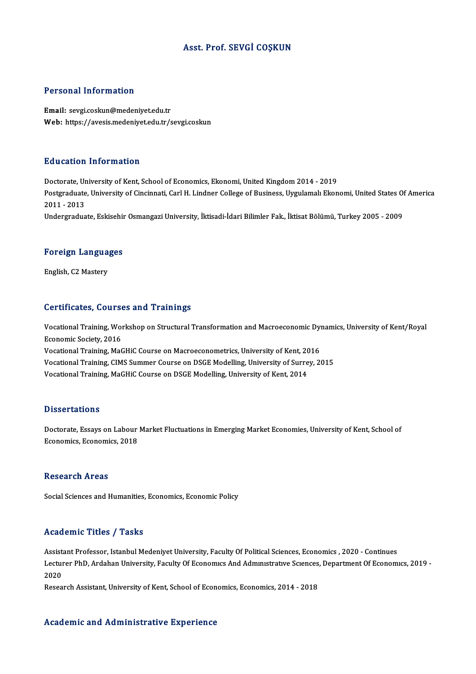## Asst. Prof. SEVGİ COŞKUN

### Personal Information

Email: sevgi.coskun@medeniyet.edu.tr Web: https://avesis.medeniyet.edu.tr/sevgi.coskun

### Education Information

E<mark>ducation Information</mark><br>Doctorate, University of Kent, School of Economics, Ekonomi, United Kingdom 2014 - 2019<br>Postsraduate University of Ginsinnati, Carl H. Lindner Collage of Pusiness, Uyzulamalı Ekon Postgraduate, University of Cincinnati, Carl H. Lindner College of Business, Uygulamalı Ekonomi, United States Of America<br>2011 - 2013 Doctorate, Ur<br>Postgraduate<br>2011 - 2013<br>Undergradua Undergraduate, Eskisehir Osmangazi University, İktisadi-İdari Bilimler Fak., İktisat Bölümü, Turkey 2005 - 2009

## <sub>ondergraduate, eskisenin</sub><br>Foreign Languages F<mark>oreign Langua</mark><br>English, C2 Mastery

# English, C2 Mastery<br>Certificates, Courses and Trainings

Certificates, Courses and Trainings<br>Vocational Training, Workshop on Structural Transformation and Macroeconomic Dynamics, University of Kent/Royal<br>Feonomic Society, 2016 economic Society, 2011<br>Economic Society, 2016<br>Mectional Training, Maß Vocational Training, Workshop on Structural Transformation and Macroeconomic Dyn<br>Economic Society, 2016<br>Vocational Training, MaGHiC Course on Macroeconometrics, University of Kent, 2016<br>Vocational Training, CIMS Summer Cou Economic Society, 2016<br>Vocational Training, MaGHiC Course on Macroeconometrics, University of Kent, 2016<br>Vocational Training, CIMS Summer Course on DSGE Modelling, University of Surrey, 2015<br>Vocational Training, MoCHiC Cou Vocational Training, MaGHiC Course on Macroeconometrics, University of Kent, 20<br>Vocational Training, CIMS Summer Course on DSGE Modelling, University of Surre<br>Vocational Training, MaGHiC Course on DSGE Modelling, Universit Vocational Training, MaGHiC Course on DSGE Modelling, University of Kent, 2014<br>Dissertations

Dissertations<br>Doctorate, Essays on Labour Market Fluctuations in Emerging Market Economies, University of Kent, School of<br>Feonomies, Esanomies, 2019 Brisson catronis<br>Doctorate, Essays on Labour<br>Economics, Economics, 2018 Economics, Economics, 2018<br>Research Areas

Social Sciences and Humanities, Economics, Economic Policy

### Academic Titles / Tasks

Academic Titles / Tasks<br>Assistant Professor, Istanbul Medeniyet University, Faculty Of Political Sciences, Economics , 2020 - Continues<br>Lecturer PhD, Ardeban University, Faculty Of Feenamuse And Admunitrative Sciences, Dep Lecturenter Preces , Prusses<br>Assistant Professor, Istanbul Medeniyet University, Faculty Of Political Sciences, Economics , 2020 - Continues<br>Lecturer PhD, Ardahan University, Faculty Of Economics And Administrative Science Assist<br>Lectur<br>2020<br>Peses Lecturer PhD, Ardahan University, Faculty Of Economics And Administrative Sciences,<br>2020<br>Research Assistant, University of Kent, School of Economics, Economics, 2014 - 2018

Research Assistant, University of Kent, School of Economics, Economics, 2014 - 2018<br>Academic and Administrative Experience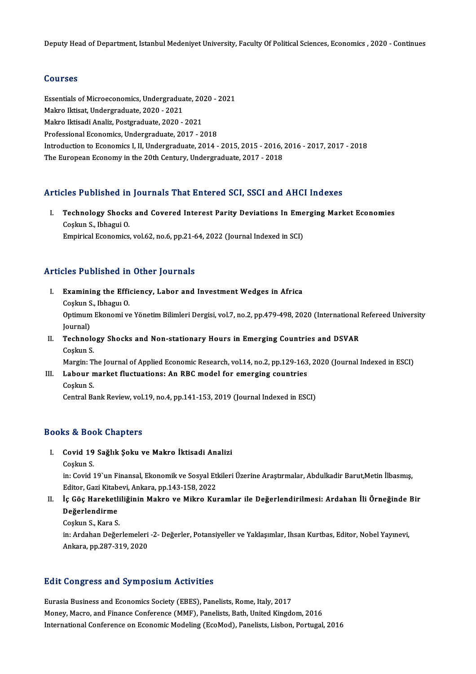Deputy Head of Department, Istanbul Medeniyet University, Faculty Of Political Sciences, Economics , 2020 - Continues

## Courses

Courses<br>Essentials of Microeconomics, Undergraduate, 2020 - 2021<br>Makro Uttisat Undergraduate, 2020, 2021 Sources<br>Essentials of Microeconomics, Undergradua<br>Makro Iktisat, Undergraduate, 2020 - 2021<br>Makro Iktisadi Analiz, Bostaraduate, 2020 Essentials of Microeconomics, Undergraduate, 20<br>Makro Iktisat, Undergraduate, 2020 - 2021<br>Makro Iktisadi Analiz, Postgraduate, 2020 - 2021<br>Professional Esenemiss, Undergraduate, 2017, 2 Makro Iktisat, Undergraduate, 2020 - 2021<br>Makro Iktisadi Analiz, Postgraduate, 2020 - 2021<br>Professional Economics, Undergraduate, 2017 - 2018 Introduction to Economics I, II, Undergraduate, 2014 - 2015, 2015 - 2016, 2016 - 2017, 2017 - 2018 The European Economy in the 20th Century, Undergraduate, 2017 - 2018

## Articles Published in Journals That Entered SCI, SSCI and AHCI Indexes

rticles Published in Journals That Entered SCI, SSCI and AHCI Indexes<br>I. Technology Shocks and Covered Interest Parity Deviations In Emerging Market Economies<br>Coskyn S. Jabagyi O. Technology Shocks<br>Technology Shocks<br>Coşkun S., Ibhagui O.<br>Emninical Economics Technology Shocks and Covered Interest Parity Deviations In Eme<br>Coşkun S., Ibhagui O.<br>Empirical Economics, vol.62, no.6, pp.21-64, 2022 (Journal Indexed in SCI) Empirical Economics, vol.62, no.6, pp.21-64, 2022 (Journal Indexed in SCI)<br>Articles Published in Other Journals

- rticles Published in Other Journals<br>I. Examining the Efficiency, Labor and Investment Wedges in Africa<br>Coskup S. Jabagu O Examining the Efficos<br>Coskun S., Ibhagui O.<br>Ontimum Ekanomi v Examining the Efficiency, Labor and Investment Wedges in Africa<br>Coşkun S., Ibhaguı O.<br>Optimum Ekonomi ve Yönetim Bilimleri Dergisi, vol.7, no.2, pp.479-498, 2020 (International Refereed University<br>Iournal) Coşkun S<br>Optimum<br>Journal)<br>Technol Optimum Ekonomi ve Yönetim Bilimleri Dergisi, vol.7, no.2, pp.479-498, 2020 (International<br>Journal)<br>II. Technology Shocks and Non-stationary Hours in Emerging Countries and DSVAR<br>Coolnu S
- Journal)<br>T<mark>echnolo</mark><br>Coşkun S.<br>Morgin: T Technology Shocks and Non-stationary Hours in Emerging Countries and DSVAR<br>Coşkun S.<br>Margin: The Journal of Applied Economic Research, vol.14, no.2, pp.129-163, 2020 (Journal Indexed in ESCI)<br>Labour market flugtuations: An

## Coşkun S.<br>Margin: The Journal of Applied Economic Research, vol.14, no.2, pp.129-163<br>III. Labour market fluctuations: An RBC model for emerging countries Margin: T<br><mark>Labour n</mark><br>Coşkun S.<br>Control Be Labour market fluctuations: An RBC model for emerging countries<br>Coşkun S.<br>Central Bank Review, vol.19, no.4, pp.141-153, 2019 (Journal Indexed in ESCI)

Central Bank Review, vol.19, no.4, pp.141-153, 2019 (Journal Indexed in ESCI)<br>Books & Book Chapters

- ooks & Book Chapters<br>I. Covid 19 Sağlık Şoku ve Makro İktisadi Analizi<br> <sup>Coolun S</sup> Covid 19<br>Coykun S.<br>in: Covid 3
	-

Covid 19 Sağlık Şoku ve Makro İktisadi Analizi<br>Coşkun S.<br>in: Covid 19`un Finansal, Ekonomik ve Sosyal Etkileri Üzerine Araştırmalar, Abdulkadir Barut,Metin İlbasmış,<br>Editer Cari Kitabevi, Arkara, pp.143,159,2022 Coşkun S.<br>in: Covid 19`un Finansal, Ekonomik ve Sosyal Etl<br>Editor, Gazi Kitabevi, Ankara, pp.143-158, 2022<br><sup>Lo Cõe</sup> Hanskotliliğinin Makro ve Mikro Kul in: Covid 19`un Finansal, Ekonomik ve Sosyal Etkileri Üzerine Araştırmalar, Abdulkadir Barut,Metin İlbasmış,<br>Editor, Gazi Kitabevi, Ankara, pp.143-158, 2022<br>II. İç Göç Hareketliliğinin Makro ve Mikro Kuramlar ile Değerlend

## Editor, Gazi Kitab<br>İç Göç Hareketl<br>Değerlendirme İç Göç Hareketli<br>Değerlendirme<br>Coşkun S., Kara S.<br>in: Ardeban Değe

Değerlendirme<br>Coşkun S., Kara S.<br>in: Ardahan Değerlemeleri -2- Değerler, Potansiyeller ve Yaklaşımlar, Ihsan Kurtbas, Editor, Nobel Yayınevi, Coşkun S., Kara S.<br>in: Ardahan Değerlemeleri<br>Ankara, pp.287-319, 2020

# Ankara, pp.287-319, 2020<br>Edit Congress and Symposium Activities

Eurasia Business and Economics Society (EBES), Panelists, Rome, Italy, 2017 Money, Macro, and Finance Conference (MMF), Panelists, Bath, United Kingdom, 2016 International Conference on Economic Modeling (EcoMod), Panelists, Lisbon, Portugal, 2016